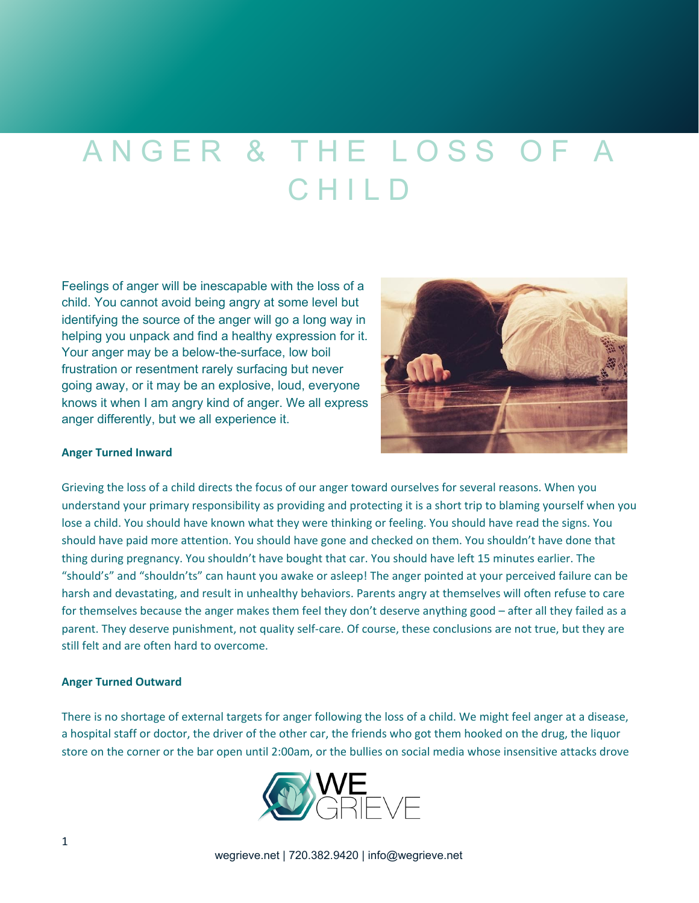# ANGER & THE LOSS OF A C H I L D

Feelings of anger will be inescapable with the loss of a child. You cannot avoid being angry at some level but identifying the source of the anger will go a long way in helping you unpack and find a healthy expression for it. Your anger may be a below-the-surface, low boil frustration or resentment rarely surfacing but never going away, or it may be an explosive, loud, everyone knows it when I am angry kind of anger. We all express anger differently, but we all experience it.



#### **Anger Turned Inward**

Grieving the loss of a child directs the focus of our anger toward ourselves for several reasons. When you understand your primary responsibility as providing and protecting it is a short trip to blaming yourself when you lose a child. You should have known what they were thinking or feeling. You should have read the signs. You should have paid more attention. You should have gone and checked on them. You shouldn't have done that thing during pregnancy. You shouldn't have bought that car. You should have left 15 minutes earlier. The "should's" and "shouldn'ts" can haunt you awake or asleep! The anger pointed at your perceived failure can be harsh and devastating, and result in unhealthy behaviors. Parents angry at themselves will often refuse to care for themselves because the anger makes them feel they don't deserve anything good – after all they failed as a parent. They deserve punishment, not quality self-care. Of course, these conclusions are not true, but they are still felt and are often hard to overcome.

#### **Anger Turned Outward**

There is no shortage of external targets for anger following the loss of a child. We might feel anger at a disease, a hospital staff or doctor, the driver of the other car, the friends who got them hooked on the drug, the liquor store on the corner or the bar open until 2:00am, or the bullies on social media whose insensitive attacks drove

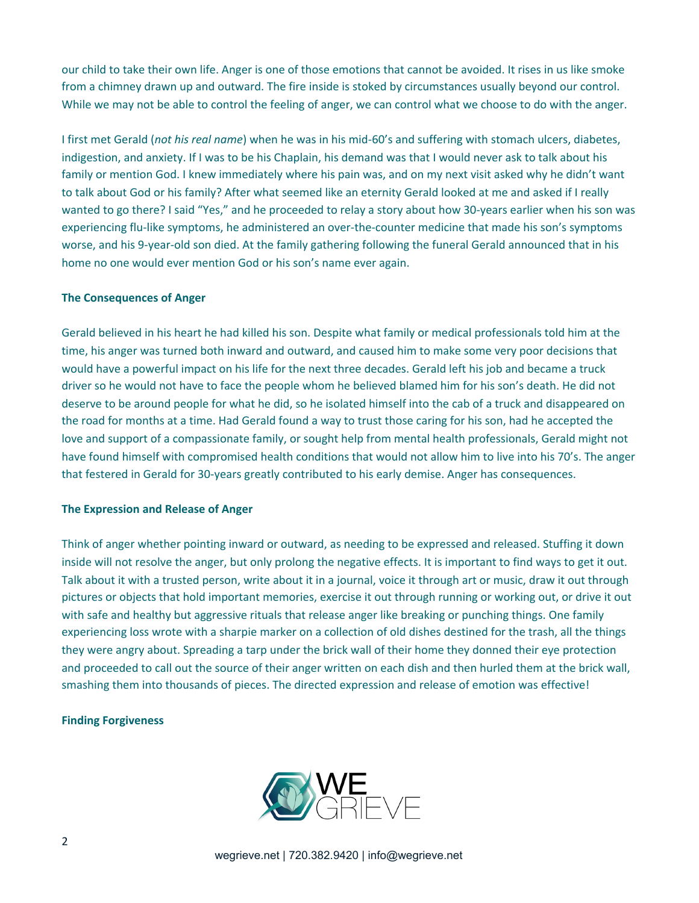our child to take their own life. Anger is one of those emotions that cannot be avoided. It rises in us like smoke from a chimney drawn up and outward. The fire inside is stoked by circumstances usually beyond our control. While we may not be able to control the feeling of anger, we can control what we choose to do with the anger.

I first met Gerald (*not his real name*) when he was in his mid-60's and suffering with stomach ulcers, diabetes, indigestion, and anxiety. If I was to be his Chaplain, his demand was that I would never ask to talk about his family or mention God. I knew immediately where his pain was, and on my next visit asked why he didn't want to talk about God or his family? After what seemed like an eternity Gerald looked at me and asked if I really wanted to go there? I said "Yes," and he proceeded to relay a story about how 30-years earlier when his son was experiencing flu-like symptoms, he administered an over-the-counter medicine that made his son's symptoms worse, and his 9-year-old son died. At the family gathering following the funeral Gerald announced that in his home no one would ever mention God or his son's name ever again.

## **The Consequences of Anger**

Gerald believed in his heart he had killed his son. Despite what family or medical professionals told him at the time, his anger was turned both inward and outward, and caused him to make some very poor decisions that would have a powerful impact on his life for the next three decades. Gerald left his job and became a truck driver so he would not have to face the people whom he believed blamed him for his son's death. He did not deserve to be around people for what he did, so he isolated himself into the cab of a truck and disappeared on the road for months at a time. Had Gerald found a way to trust those caring for his son, had he accepted the love and support of a compassionate family, or sought help from mental health professionals, Gerald might not have found himself with compromised health conditions that would not allow him to live into his 70's. The anger that festered in Gerald for 30-years greatly contributed to his early demise. Anger has consequences.

## **The Expression and Release of Anger**

Think of anger whether pointing inward or outward, as needing to be expressed and released. Stuffing it down inside will not resolve the anger, but only prolong the negative effects. It is important to find ways to get it out. Talk about it with a trusted person, write about it in a journal, voice it through art or music, draw it out through pictures or objects that hold important memories, exercise it out through running or working out, or drive it out with safe and healthy but aggressive rituals that release anger like breaking or punching things. One family experiencing loss wrote with a sharpie marker on a collection of old dishes destined for the trash, all the things they were angry about. Spreading a tarp under the brick wall of their home they donned their eye protection and proceeded to call out the source of their anger written on each dish and then hurled them at the brick wall, smashing them into thousands of pieces. The directed expression and release of emotion was effective!

## **Finding Forgiveness**